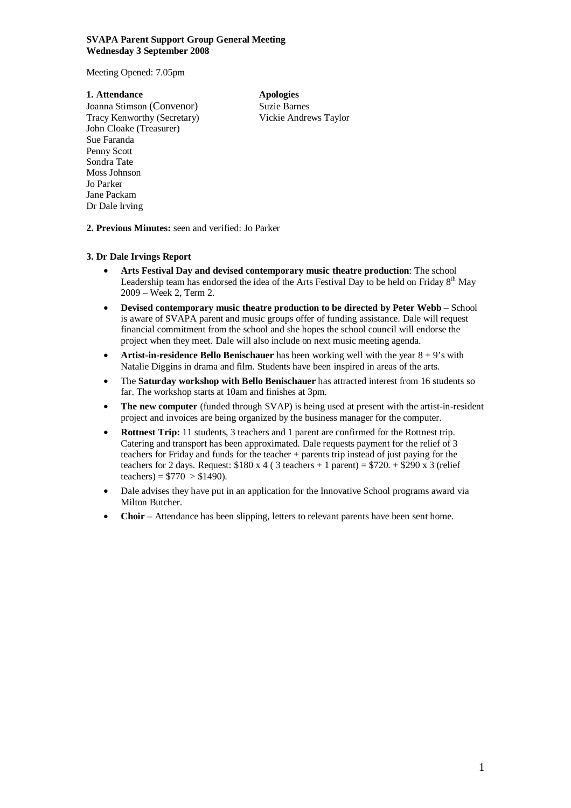#### **SVAPA Parent Support Group General Meeting Wednesday 3 September 2008**

Meeting Opened: 7.05pm

### **1. Attendance Apologies**

Joanna Stimson (Convenor) Suzie Barnes Tracy Kenworthy (Secretary) Vickie Andrews Taylor John Cloake (Treasurer) Sue Faranda Penny Scott Sondra Tate Moss Johnson Jo Parker Jane Packam Dr Dale Irving

**2. Previous Minutes:** seen and verified: Jo Parker

## **3. Dr Dale Irvings Report**

- **Arts Festival Day and devised contemporary music theatre production**: The school Leadership team has endorsed the idea of the Arts Festival Day to be held on Friday  $8<sup>th</sup>$  May 2009 – Week 2, Term 2.
- **Devised contemporary music theatre production to be directed by Peter Webb** School is aware of SVAPA parent and music groups offer of funding assistance. Dale will request financial commitment from the school and she hopes the school council will endorse the project when they meet. Dale will also include on next music meeting agenda.
- **Artist-in-residence Bello Benischauer** has been working well with the year 8 + 9's with Natalie Diggins in drama and film. Students have been inspired in areas of the arts.
- The **Saturday workshop with Bello Benischauer** has attracted interest from 16 students so far. The workshop starts at 10am and finishes at 3pm.
- **The new computer** (funded through SVAP) is being used at present with the artist-in-resident project and invoices are being organized by the business manager for the computer.
- **Rottnest Trip:** 11 students, 3 teachers and 1 parent are confirmed for the Rottnest trip. Catering and transport has been approximated. Dale requests payment for the relief of 3 teachers for Friday and funds for the teacher + parents trip instead of just paying for the teachers for 2 days. Request:  $$180 \times 4$  (3 teachers + 1 parent) =  $$720.+$290 \times 3$  (relief teachers) =  $$770 > $1490$ ).
- Dale advises they have put in an application for the Innovative School programs award via Milton Butcher.
- **Choir**  Attendance has been slipping, letters to relevant parents have been sent home.